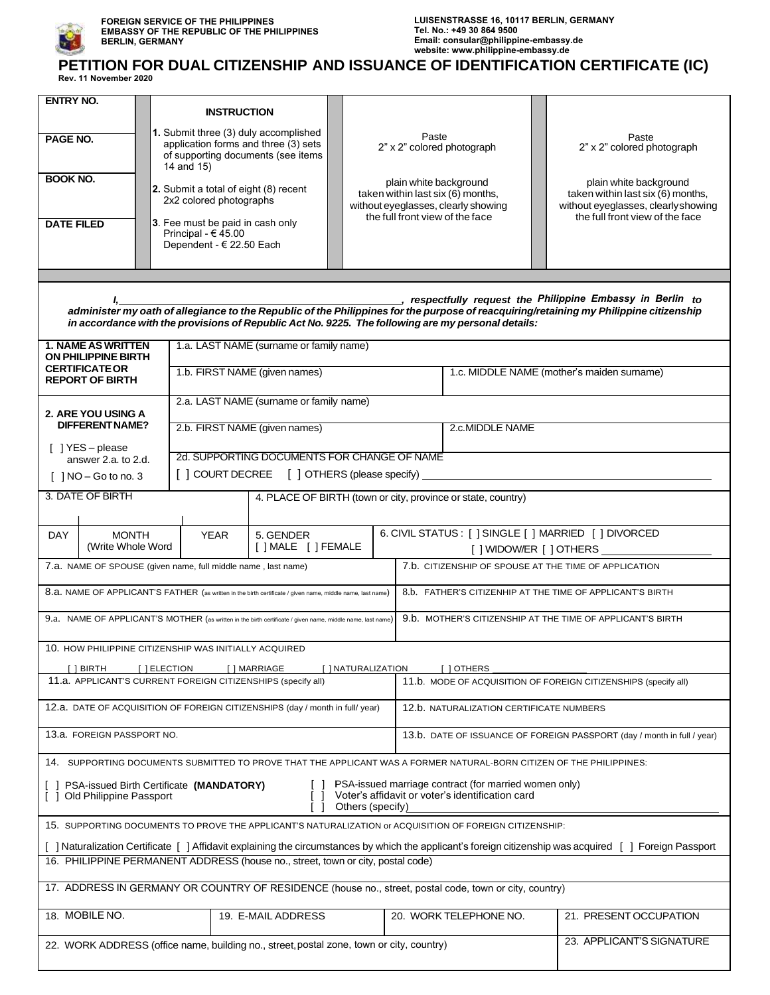

## **PETITION FOR DUAL CITIZENSHIP AND ISSUANCE OF IDENTIFICATION CERTIFICATE (IC) Rev. 11 November 2020**

| <b>ENTRY NO.</b>                                                                                                                                                                                                                                                                                         |                    |                                       | <b>INSTRUCTION</b>                                                                       |                                         |  |                        |                                 |                                                                                                                                           |  |                                 |                                                                                                                                           |  |
|----------------------------------------------------------------------------------------------------------------------------------------------------------------------------------------------------------------------------------------------------------------------------------------------------------|--------------------|---------------------------------------|------------------------------------------------------------------------------------------|-----------------------------------------|--|------------------------|---------------------------------|-------------------------------------------------------------------------------------------------------------------------------------------|--|---------------------------------|-------------------------------------------------------------------------------------------------------------------------------------------|--|
|                                                                                                                                                                                                                                                                                                          |                    | 1. Submit three (3) duly accomplished |                                                                                          |                                         |  |                        |                                 | Paste<br>2" x 2" colored photograph<br>plain white background<br>taken within last six (6) months,<br>without eyeglasses, clearly showing |  |                                 | Paste<br>2" x 2" colored photograph<br>plain white background<br>taken within last six (6) months,<br>without eyeglasses, clearly showing |  |
| PAGE NO.                                                                                                                                                                                                                                                                                                 |                    |                                       | application forms and three (3) sets<br>of supporting documents (see items<br>14 and 15) |                                         |  |                        |                                 |                                                                                                                                           |  |                                 |                                                                                                                                           |  |
| <b>BOOK NO.</b>                                                                                                                                                                                                                                                                                          |                    |                                       | 2. Submit a total of eight (8) recent<br>2x2 colored photographs                         |                                         |  |                        |                                 |                                                                                                                                           |  |                                 |                                                                                                                                           |  |
| <b>DATE FILED</b>                                                                                                                                                                                                                                                                                        |                    |                                       | 3. Fee must be paid in cash only<br>Principal - $€ 45.00$<br>Dependent - € 22.50 Each    |                                         |  |                        | the full front view of the face |                                                                                                                                           |  | the full front view of the face |                                                                                                                                           |  |
|                                                                                                                                                                                                                                                                                                          |                    |                                       |                                                                                          |                                         |  |                        |                                 |                                                                                                                                           |  |                                 |                                                                                                                                           |  |
|                                                                                                                                                                                                                                                                                                          |                    |                                       |                                                                                          |                                         |  |                        |                                 |                                                                                                                                           |  |                                 |                                                                                                                                           |  |
| respectfully request the Philippine Embassy in Berlin to<br>administer my oath of allegiance to the Republic of the Philippines for the purpose of reacquiring/retaining my Philippine citizenship<br>in accordance with the provisions of Republic Act No. 9225. The following are my personal details: |                    |                                       |                                                                                          |                                         |  |                        |                                 |                                                                                                                                           |  |                                 |                                                                                                                                           |  |
| <b>1. NAME AS WRITTEN</b><br>1.a. LAST NAME (surname or family name)<br><b>ON PHILIPPINE BIRTH</b>                                                                                                                                                                                                       |                    |                                       |                                                                                          |                                         |  |                        |                                 |                                                                                                                                           |  |                                 |                                                                                                                                           |  |
| <b>CERTIFICATE OR</b><br><b>REPORT OF BIRTH</b>                                                                                                                                                                                                                                                          |                    |                                       |                                                                                          | 1.b. FIRST NAME (given names)           |  |                        |                                 | 1.c. MIDDLE NAME (mother's maiden surname)                                                                                                |  |                                 |                                                                                                                                           |  |
|                                                                                                                                                                                                                                                                                                          | 2. ARE YOU USING A |                                       |                                                                                          | 2.a. LAST NAME (surname or family name) |  |                        |                                 |                                                                                                                                           |  |                                 |                                                                                                                                           |  |
|                                                                                                                                                                                                                                                                                                          | DIFFERENT NAME?    |                                       |                                                                                          | 2.b. FIRST NAME (given names)           |  |                        |                                 | 2.c.MIDDLE NAME                                                                                                                           |  |                                 |                                                                                                                                           |  |
| [ ] YES - please<br>answer 2.a. to 2.d.                                                                                                                                                                                                                                                                  |                    |                                       | 2d. SUPPORTING DOCUMENTS FOR CHANGE OF NAME                                              |                                         |  |                        |                                 |                                                                                                                                           |  |                                 |                                                                                                                                           |  |
| [ ] COURT DECREE [ ] OTHERS (please specify) ____<br>$\lceil$   NO – Go to no. 3                                                                                                                                                                                                                         |                    |                                       |                                                                                          |                                         |  |                        |                                 |                                                                                                                                           |  |                                 |                                                                                                                                           |  |
| 3. DATE OF BIRTH<br>4. PLACE OF BIRTH (town or city, province or state, country)                                                                                                                                                                                                                         |                    |                                       |                                                                                          |                                         |  |                        |                                 |                                                                                                                                           |  |                                 |                                                                                                                                           |  |
| 6. CIVIL STATUS : [ ] SINGLE [ ] MARRIED [ ] DIVORCED<br><b>MONTH</b><br><b>YEAR</b><br>5. GENDER<br><b>DAY</b>                                                                                                                                                                                          |                    |                                       |                                                                                          |                                         |  |                        |                                 |                                                                                                                                           |  |                                 |                                                                                                                                           |  |
|                                                                                                                                                                                                                                                                                                          | (Write Whole Word  |                                       |                                                                                          | [ ] MALE [ ] FEMALE                     |  |                        |                                 | [ ] WIDOW/ER [ ] OTHERS ________                                                                                                          |  |                                 |                                                                                                                                           |  |
|                                                                                                                                                                                                                                                                                                          |                    |                                       | 7.a. NAME OF SPOUSE (given name, full middle name, last name)                            |                                         |  |                        |                                 |                                                                                                                                           |  |                                 | 7.b. CITIZENSHIP OF SPOUSE AT THE TIME OF APPLICATION                                                                                     |  |
| 8.a. NAME OF APPLICANT'S FATHER (as written in the birth certificate / given name, middle name, last name)<br>8.b. FATHER'S CITIZENHIP AT THE TIME OF APPLICANT'S BIRTH                                                                                                                                  |                    |                                       |                                                                                          |                                         |  |                        |                                 |                                                                                                                                           |  |                                 |                                                                                                                                           |  |
| 9.b. MOTHER'S CITIZENSHIP AT THE TIME OF APPLICANT'S BIRTH<br>9.a. NAME OF APPLICANT'S MOTHER (as written in the birth certificate / given name, middle name, last name)                                                                                                                                 |                    |                                       |                                                                                          |                                         |  |                        |                                 |                                                                                                                                           |  |                                 |                                                                                                                                           |  |
|                                                                                                                                                                                                                                                                                                          |                    |                                       | 10. HOW PHILIPPINE CITIZENSHIP WAS INITIALLY ACQUIRED                                    |                                         |  |                        |                                 |                                                                                                                                           |  |                                 |                                                                                                                                           |  |
| [ ] BIRTH<br>[ ] ELECTION<br>[ ] MARRIAGE<br>[ ] NATURALIZATION<br>11.a. APPLICANT'S CURRENT FOREIGN CITIZENSHIPS (specify all)                                                                                                                                                                          |                    |                                       |                                                                                          |                                         |  |                        |                                 | [ ] OTHERS<br>11.b. MODE OF ACQUISITION OF FOREIGN CITIZENSHIPS (specify all)                                                             |  |                                 |                                                                                                                                           |  |
| 12.a. DATE OF ACQUISITION OF FOREIGN CITIZENSHIPS (day / month in full/ year)                                                                                                                                                                                                                            |                    |                                       |                                                                                          |                                         |  |                        |                                 | 12.b. NATURALIZATION CERTIFICATE NUMBERS                                                                                                  |  |                                 |                                                                                                                                           |  |
| 13.a. FOREIGN PASSPORT NO.                                                                                                                                                                                                                                                                               |                    |                                       |                                                                                          |                                         |  |                        |                                 | 13.b. DATE OF ISSUANCE OF FOREIGN PASSPORT (day / month in full / year)                                                                   |  |                                 |                                                                                                                                           |  |
| 14. SUPPORTING DOCUMENTS SUBMITTED TO PROVE THAT THE APPLICANT WAS A FORMER NATURAL-BORN CITIZEN OF THE PHILIPPINES:                                                                                                                                                                                     |                    |                                       |                                                                                          |                                         |  |                        |                                 |                                                                                                                                           |  |                                 |                                                                                                                                           |  |
| PSA-issued marriage contract (for married women only)<br>[ ] PSA-issued Birth Certificate (MANDATORY)<br>Voter's affidavit or voter's identification card<br>Old Philippine Passport<br>Others (specify)                                                                                                 |                    |                                       |                                                                                          |                                         |  |                        |                                 |                                                                                                                                           |  |                                 |                                                                                                                                           |  |
| 15. SUPPORTING DOCUMENTS TO PROVE THE APPLICANT'S NATURALIZATION or ACQUISITION OF FOREIGN CITIZENSHIP:                                                                                                                                                                                                  |                    |                                       |                                                                                          |                                         |  |                        |                                 |                                                                                                                                           |  |                                 |                                                                                                                                           |  |
| [ ] Naturalization Certificate [ ] Affidavit explaining the circumstances by which the applicant's foreign citizenship was acquired [ ] Foreign Passport                                                                                                                                                 |                    |                                       |                                                                                          |                                         |  |                        |                                 |                                                                                                                                           |  |                                 |                                                                                                                                           |  |
| 16. PHILIPPINE PERMANENT ADDRESS (house no., street, town or city, postal code)                                                                                                                                                                                                                          |                    |                                       |                                                                                          |                                         |  |                        |                                 |                                                                                                                                           |  |                                 |                                                                                                                                           |  |
| 17. ADDRESS IN GERMANY OR COUNTRY OF RESIDENCE (house no., street, postal code, town or city, country)                                                                                                                                                                                                   |                    |                                       |                                                                                          |                                         |  |                        |                                 |                                                                                                                                           |  |                                 |                                                                                                                                           |  |
| 18. MOBILE NO.                                                                                                                                                                                                                                                                                           |                    |                                       | 19. E-MAIL ADDRESS                                                                       |                                         |  | 20. WORK TELEPHONE NO. |                                 |                                                                                                                                           |  | 21. PRESENT OCCUPATION          |                                                                                                                                           |  |
| 23. APPLICANT'S SIGNATURE<br>22. WORK ADDRESS (office name, building no., street, postal zone, town or city, country)                                                                                                                                                                                    |                    |                                       |                                                                                          |                                         |  |                        |                                 |                                                                                                                                           |  |                                 |                                                                                                                                           |  |